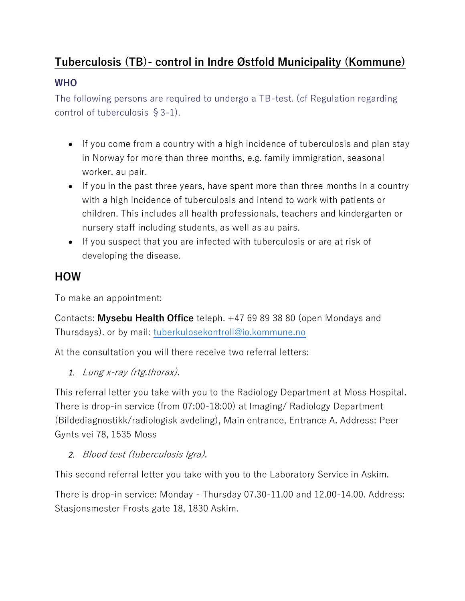# **Tuberculosis (TB)- control in Indre Østfold Municipality (Kommune)**

#### **WHO**

The following persons are required to undergo a TB-test. (cf Regulation regarding control of tuberculosis §3-1).

- If you come from a country with a high incidence of tuberculosis and plan stay in Norway for more than three months, e.g. family immigration, seasonal worker, au pair.
- If you in the past three years, have spent more than three months in a country with a high incidence of tuberculosis and intend to work with patients or children. This includes all health professionals, teachers and kindergarten or nursery staff including students, as well as au pairs.
- If you suspect that you are infected with tuberculosis or are at risk of developing the disease.

### **HOW**

To make an appointment:

Contacts: **Mysebu Health Office** teleph. +47 69 89 38 80 (open Mondays and Thursdays). or by mail: [tuberkulosekontroll@io.kommune.no](mailto:tuberkulosekontroll@io.kommune.no)

At the consultation you will there receive two referral letters:

*1.* Lung x-ray (rtg.thorax).

This referral letter you take with you to the Radiology Department at Moss Hospital. There is drop-in service (from 07:00-18:00) at Imaging/ Radiology Department (Bildediagnostikk/radiologisk avdeling), Main entrance, Entrance A. Address: Peer Gynts vei 78, 1535 Moss

*2.* Blood test (tuberculosis Igra).

This second referral letter you take with you to the Laboratory Service in Askim.

There is drop-in service: Monday - Thursday 07.30-11.00 and 12.00-14.00. Address: Stasjonsmester Frosts gate 18, 1830 Askim.